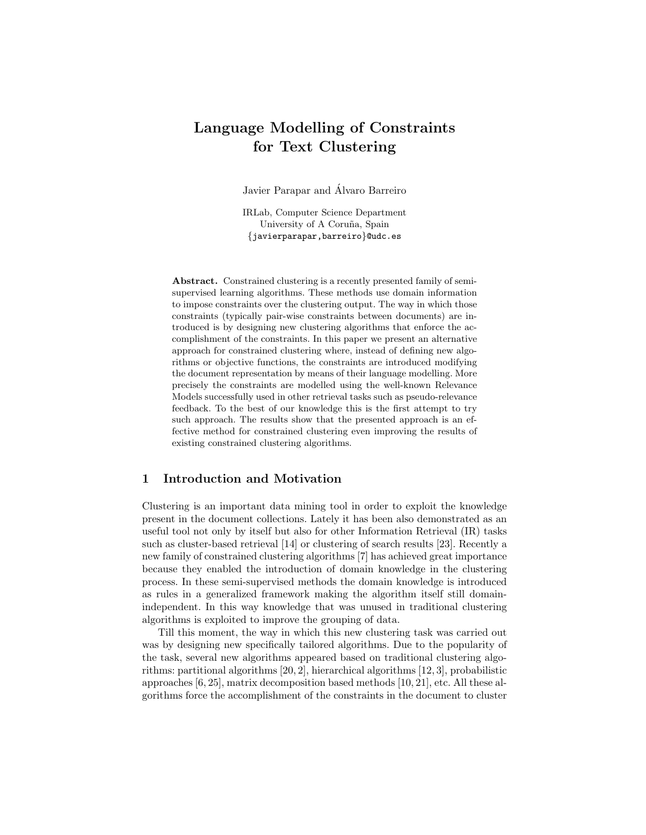# Language Modelling of Constraints for Text Clustering

Javier Parapar and Alvaro Barreiro ´

IRLab, Computer Science Department University of A Coruña, Spain {javierparapar,barreiro}@udc.es

Abstract. Constrained clustering is a recently presented family of semisupervised learning algorithms. These methods use domain information to impose constraints over the clustering output. The way in which those constraints (typically pair-wise constraints between documents) are introduced is by designing new clustering algorithms that enforce the accomplishment of the constraints. In this paper we present an alternative approach for constrained clustering where, instead of defining new algorithms or objective functions, the constraints are introduced modifying the document representation by means of their language modelling. More precisely the constraints are modelled using the well-known Relevance Models successfully used in other retrieval tasks such as pseudo-relevance feedback. To the best of our knowledge this is the first attempt to try such approach. The results show that the presented approach is an effective method for constrained clustering even improving the results of existing constrained clustering algorithms.

# 1 Introduction and Motivation

Clustering is an important data mining tool in order to exploit the knowledge present in the document collections. Lately it has been also demonstrated as an useful tool not only by itself but also for other Information Retrieval (IR) tasks such as cluster-based retrieval [14] or clustering of search results [23]. Recently a new family of constrained clustering algorithms [7] has achieved great importance because they enabled the introduction of domain knowledge in the clustering process. In these semi-supervised methods the domain knowledge is introduced as rules in a generalized framework making the algorithm itself still domainindependent. In this way knowledge that was unused in traditional clustering algorithms is exploited to improve the grouping of data.

Till this moment, the way in which this new clustering task was carried out was by designing new specifically tailored algorithms. Due to the popularity of the task, several new algorithms appeared based on traditional clustering algorithms: partitional algorithms [20, 2], hierarchical algorithms [12, 3], probabilistic approaches [6, 25], matrix decomposition based methods [10, 21], etc. All these algorithms force the accomplishment of the constraints in the document to cluster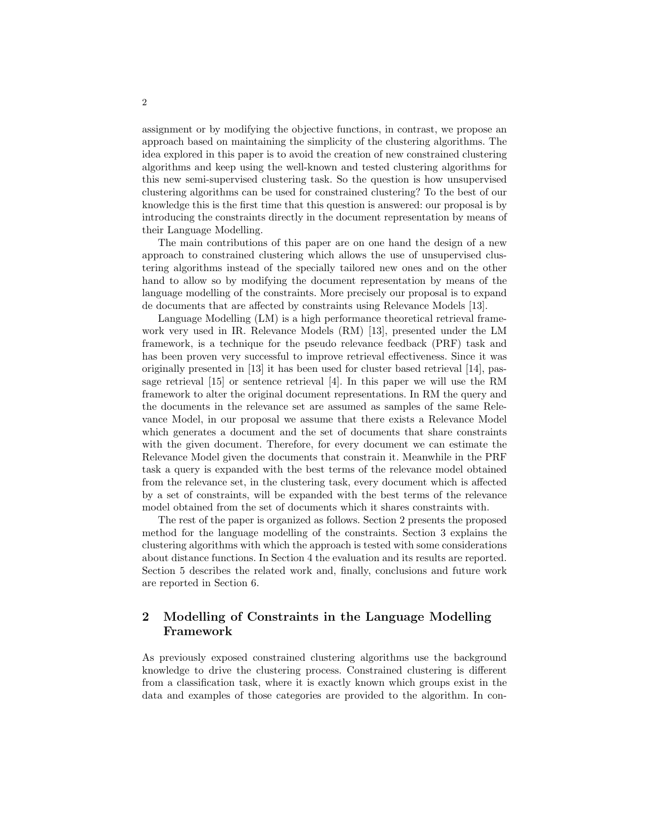assignment or by modifying the objective functions, in contrast, we propose an approach based on maintaining the simplicity of the clustering algorithms. The idea explored in this paper is to avoid the creation of new constrained clustering algorithms and keep using the well-known and tested clustering algorithms for this new semi-supervised clustering task. So the question is how unsupervised clustering algorithms can be used for constrained clustering? To the best of our knowledge this is the first time that this question is answered: our proposal is by introducing the constraints directly in the document representation by means of their Language Modelling.

The main contributions of this paper are on one hand the design of a new approach to constrained clustering which allows the use of unsupervised clustering algorithms instead of the specially tailored new ones and on the other hand to allow so by modifying the document representation by means of the language modelling of the constraints. More precisely our proposal is to expand de documents that are affected by constraints using Relevance Models [13].

Language Modelling (LM) is a high performance theoretical retrieval framework very used in IR. Relevance Models (RM) [13], presented under the LM framework, is a technique for the pseudo relevance feedback (PRF) task and has been proven very successful to improve retrieval effectiveness. Since it was originally presented in [13] it has been used for cluster based retrieval [14], passage retrieval [15] or sentence retrieval [4]. In this paper we will use the RM framework to alter the original document representations. In RM the query and the documents in the relevance set are assumed as samples of the same Relevance Model, in our proposal we assume that there exists a Relevance Model which generates a document and the set of documents that share constraints with the given document. Therefore, for every document we can estimate the Relevance Model given the documents that constrain it. Meanwhile in the PRF task a query is expanded with the best terms of the relevance model obtained from the relevance set, in the clustering task, every document which is affected by a set of constraints, will be expanded with the best terms of the relevance model obtained from the set of documents which it shares constraints with.

The rest of the paper is organized as follows. Section 2 presents the proposed method for the language modelling of the constraints. Section 3 explains the clustering algorithms with which the approach is tested with some considerations about distance functions. In Section 4 the evaluation and its results are reported. Section 5 describes the related work and, finally, conclusions and future work are reported in Section 6.

# 2 Modelling of Constraints in the Language Modelling Framework

As previously exposed constrained clustering algorithms use the background knowledge to drive the clustering process. Constrained clustering is different from a classification task, where it is exactly known which groups exist in the data and examples of those categories are provided to the algorithm. In con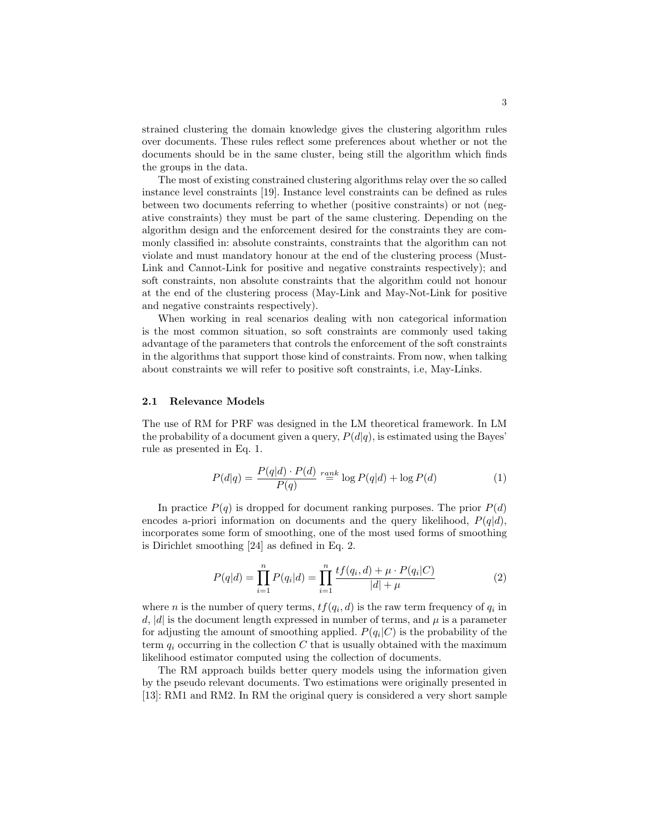strained clustering the domain knowledge gives the clustering algorithm rules over documents. These rules reflect some preferences about whether or not the documents should be in the same cluster, being still the algorithm which finds the groups in the data.

The most of existing constrained clustering algorithms relay over the so called instance level constraints [19]. Instance level constraints can be defined as rules between two documents referring to whether (positive constraints) or not (negative constraints) they must be part of the same clustering. Depending on the algorithm design and the enforcement desired for the constraints they are commonly classified in: absolute constraints, constraints that the algorithm can not violate and must mandatory honour at the end of the clustering process (Must-Link and Cannot-Link for positive and negative constraints respectively); and soft constraints, non absolute constraints that the algorithm could not honour at the end of the clustering process (May-Link and May-Not-Link for positive and negative constraints respectively).

When working in real scenarios dealing with non categorical information is the most common situation, so soft constraints are commonly used taking advantage of the parameters that controls the enforcement of the soft constraints in the algorithms that support those kind of constraints. From now, when talking about constraints we will refer to positive soft constraints, i.e, May-Links.

#### 2.1 Relevance Models

The use of RM for PRF was designed in the LM theoretical framework. In LM the probability of a document given a query,  $P(d|q)$ , is estimated using the Bayes' rule as presented in Eq. 1.

$$
P(d|q) = \frac{P(q|d) \cdot P(d)}{P(q)} \stackrel{rank}{=} \log P(q|d) + \log P(d) \tag{1}
$$

In practice  $P(q)$  is dropped for document ranking purposes. The prior  $P(d)$ encodes a-priori information on documents and the query likelihood,  $P(q|d)$ , incorporates some form of smoothing, one of the most used forms of smoothing is Dirichlet smoothing [24] as defined in Eq. 2.

$$
P(q|d) = \prod_{i=1}^{n} P(q_i|d) = \prod_{i=1}^{n} \frac{tf(q_i, d) + \mu \cdot P(q_i|C)}{|d| + \mu}
$$
 (2)

where *n* is the number of query terms,  $tf(q_i, d)$  is the raw term frequency of  $q_i$  in d, |d| is the document length expressed in number of terms, and  $\mu$  is a parameter for adjusting the amount of smoothing applied.  $P(q_i|C)$  is the probability of the term  $q_i$  occurring in the collection C that is usually obtained with the maximum likelihood estimator computed using the collection of documents.

The RM approach builds better query models using the information given by the pseudo relevant documents. Two estimations were originally presented in [13]: RM1 and RM2. In RM the original query is considered a very short sample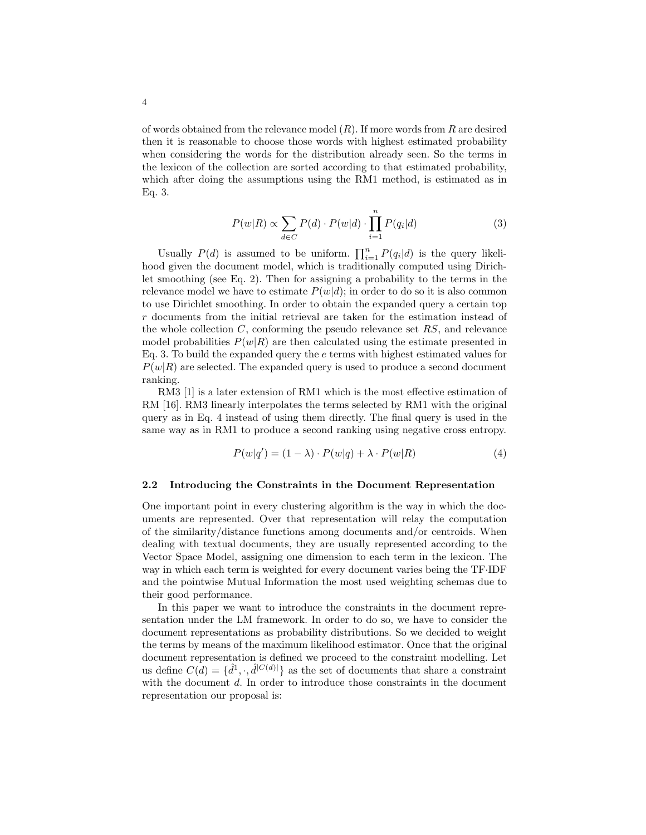of words obtained from the relevance model  $(R)$ . If more words from R are desired then it is reasonable to choose those words with highest estimated probability when considering the words for the distribution already seen. So the terms in the lexicon of the collection are sorted according to that estimated probability, which after doing the assumptions using the RM1 method, is estimated as in Eq. 3.

$$
P(w|R) \propto \sum_{d \in C} P(d) \cdot P(w|d) \cdot \prod_{i=1}^{n} P(q_i|d)
$$
 (3)

Usually  $P(d)$  is assumed to be uniform.  $\prod_{i=1}^{n} P(q_i|d)$  is the query likelihood given the document model, which is traditionally computed using Dirichlet smoothing (see Eq. 2). Then for assigning a probability to the terms in the relevance model we have to estimate  $P(w|d)$ ; in order to do so it is also common to use Dirichlet smoothing. In order to obtain the expanded query a certain top r documents from the initial retrieval are taken for the estimation instead of the whole collection  $C$ , conforming the pseudo relevance set  $RS$ , and relevance model probabilities  $P(w|R)$  are then calculated using the estimate presented in Eq. 3. To build the expanded query the e terms with highest estimated values for  $P(w|R)$  are selected. The expanded query is used to produce a second document ranking.

RM3 [1] is a later extension of RM1 which is the most effective estimation of RM [16]. RM3 linearly interpolates the terms selected by RM1 with the original query as in Eq. 4 instead of using them directly. The final query is used in the same way as in RM1 to produce a second ranking using negative cross entropy.

$$
P(w|q') = (1 - \lambda) \cdot P(w|q) + \lambda \cdot P(w|R)
$$
\n(4)

#### 2.2 Introducing the Constraints in the Document Representation

One important point in every clustering algorithm is the way in which the documents are represented. Over that representation will relay the computation of the similarity/distance functions among documents and/or centroids. When dealing with textual documents, they are usually represented according to the Vector Space Model, assigning one dimension to each term in the lexicon. The way in which each term is weighted for every document varies being the TF·IDF and the pointwise Mutual Information the most used weighting schemas due to their good performance.

In this paper we want to introduce the constraints in the document representation under the LM framework. In order to do so, we have to consider the document representations as probability distributions. So we decided to weight the terms by means of the maximum likelihood estimator. Once that the original document representation is defined we proceed to the constraint modelling. Let us define  $C(d) = \{ \hat{d}^1, \cdot, \hat{d}^{|C(d)|} \}$  as the set of documents that share a constraint with the document d. In order to introduce those constraints in the document representation our proposal is: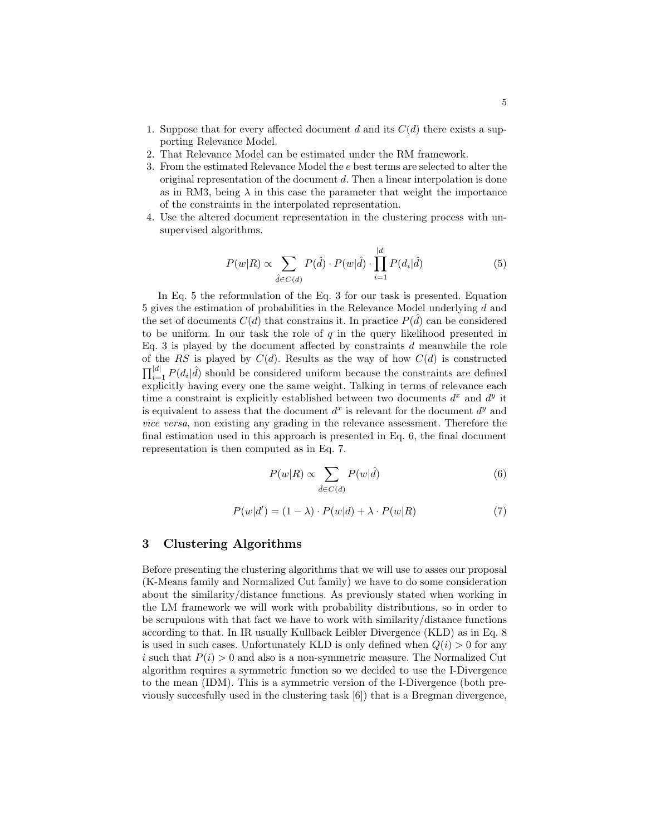- 1. Suppose that for every affected document d and its  $C(d)$  there exists a supporting Relevance Model.
- 2. That Relevance Model can be estimated under the RM framework.
- 3. From the estimated Relevance Model the e best terms are selected to alter the original representation of the document d. Then a linear interpolation is done as in RM3, being  $\lambda$  in this case the parameter that weight the importance of the constraints in the interpolated representation.
- 4. Use the altered document representation in the clustering process with unsupervised algorithms.

$$
P(w|R) \propto \sum_{\hat{d} \in C(d)} P(\hat{d}) \cdot P(w|\hat{d}) \cdot \prod_{i=1}^{|d|} P(d_i|\hat{d}) \tag{5}
$$

In Eq. 5 the reformulation of the Eq. 3 for our task is presented. Equation 5 gives the estimation of probabilities in the Relevance Model underlying d and the set of documents  $C(d)$  that constrains it. In practice  $P(\hat{d})$  can be considered to be uniform. In our task the role of  $q$  in the query likelihood presented in Eq. 3 is played by the document affected by constraints  $d$  meanwhile the role of the RS is played by  $C(d)$ . Results as the way of how  $C(d)$  is constructed  $\prod_{i=1}^{|d|} P(d_i | \hat{d})$  should be considered uniform because the constraints are defined explicitly having every one the same weight. Talking in terms of relevance each time a constraint is explicitly established between two documents  $d^x$  and  $d^y$  it is equivalent to assess that the document  $d^x$  is relevant for the document  $d^y$  and vice versa, non existing any grading in the relevance assessment. Therefore the final estimation used in this approach is presented in Eq. 6, the final document representation is then computed as in Eq. 7.

$$
P(w|R) \propto \sum_{\hat{d} \in C(d)} P(w|\hat{d}) \tag{6}
$$

$$
P(w|d') = (1 - \lambda) \cdot P(w|d) + \lambda \cdot P(w|R)
$$
\n(7)

## 3 Clustering Algorithms

Before presenting the clustering algorithms that we will use to asses our proposal (K-Means family and Normalized Cut family) we have to do some consideration about the similarity/distance functions. As previously stated when working in the LM framework we will work with probability distributions, so in order to be scrupulous with that fact we have to work with similarity/distance functions according to that. In IR usually Kullback Leibler Divergence (KLD) as in Eq. 8 is used in such cases. Unfortunately KLD is only defined when  $Q(i) > 0$  for any i such that  $P(i) > 0$  and also is a non-symmetric measure. The Normalized Cut algorithm requires a symmetric function so we decided to use the I-Divergence to the mean (IDM). This is a symmetric version of the I-Divergence (both previously succesfully used in the clustering task [6]) that is a Bregman divergence,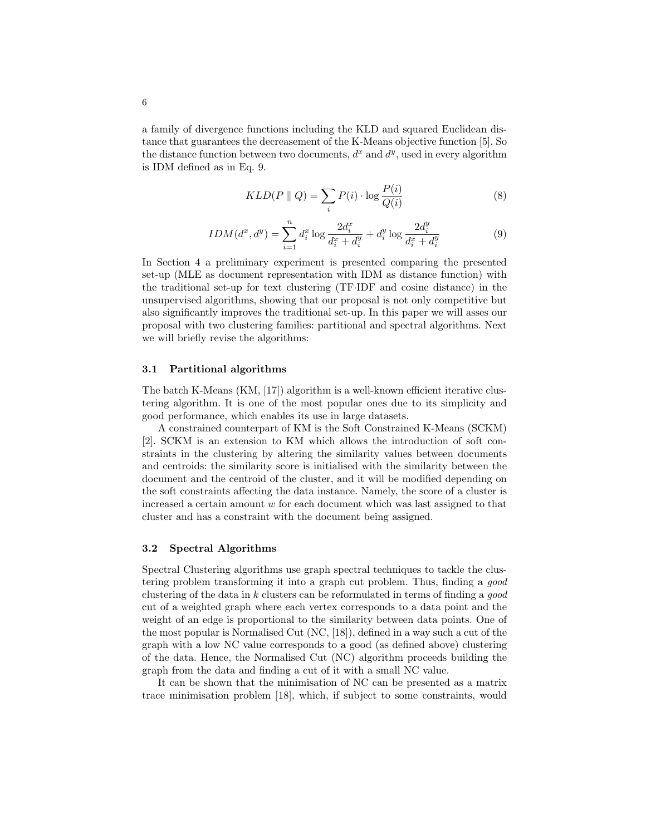a family of divergence functions including the KLD and squared Euclidean distance that guarantees the decreasement of the K-Means objective function [5]. So the distance function between two documents,  $d^x$  and  $d^y$ , used in every algorithm is IDM defined as in Eq. 9.

$$
KLD(P \parallel Q) = \sum_{i} P(i) \cdot \log \frac{P(i)}{Q(i)} \tag{8}
$$

$$
IDM(d^x, d^y) = \sum_{i=1}^n d_i^x \log \frac{2d_i^x}{d_i^x + d_i^y} + d_i^y \log \frac{2d_i^y}{d_i^x + d_i^y}
$$
(9)

In Section 4 a preliminary experiment is presented comparing the presented set-up (MLE as document representation with IDM as distance function) with the traditional set-up for text clustering (TF·IDF and cosine distance) in the unsupervised algorithms, showing that our proposal is not only competitive but also significantly improves the traditional set-up. In this paper we will asses our proposal with two clustering families: partitional and spectral algorithms. Next we will briefly revise the algorithms:

#### 3.1 Partitional algorithms

The batch K-Means (KM, [17]) algorithm is a well-known efficient iterative clustering algorithm. It is one of the most popular ones due to its simplicity and good performance, which enables its use in large datasets.

A constrained counterpart of KM is the Soft Constrained K-Means (SCKM) [2]. SCKM is an extension to KM which allows the introduction of soft constraints in the clustering by altering the similarity values between documents and centroids: the similarity score is initialised with the similarity between the document and the centroid of the cluster, and it will be modified depending on the soft constraints affecting the data instance. Namely, the score of a cluster is increased a certain amount  $w$  for each document which was last assigned to that cluster and has a constraint with the document being assigned.

#### 3.2 Spectral Algorithms

Spectral Clustering algorithms use graph spectral techniques to tackle the clustering problem transforming it into a graph cut problem. Thus, finding a good clustering of the data in  $k$  clusters can be reformulated in terms of finding a *good* cut of a weighted graph where each vertex corresponds to a data point and the weight of an edge is proportional to the similarity between data points. One of the most popular is Normalised Cut (NC, [18]), defined in a way such a cut of the graph with a low NC value corresponds to a good (as defined above) clustering of the data. Hence, the Normalised Cut (NC) algorithm proceeds building the graph from the data and finding a cut of it with a small NC value.

It can be shown that the minimisation of NC can be presented as a matrix trace minimisation problem [18], which, if subject to some constraints, would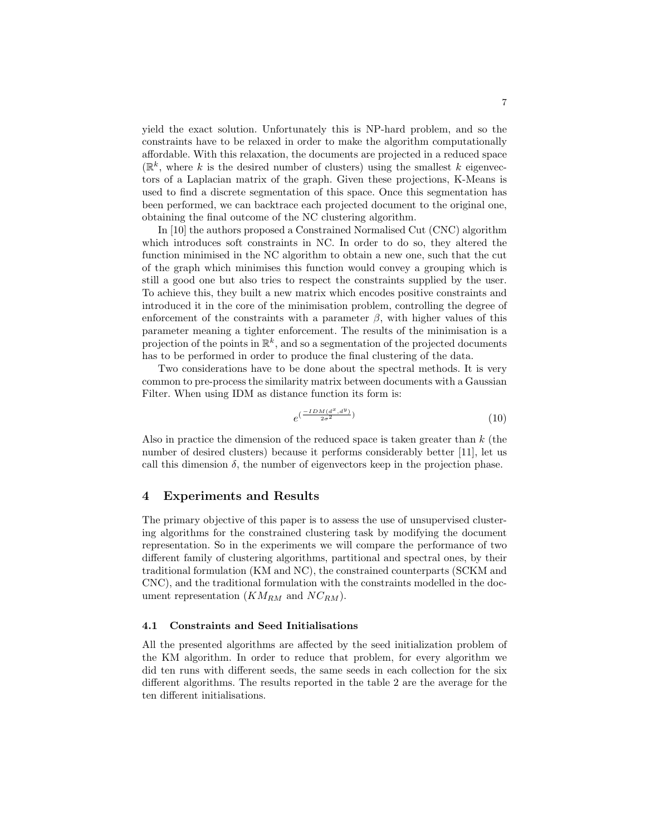yield the exact solution. Unfortunately this is NP-hard problem, and so the constraints have to be relaxed in order to make the algorithm computationally affordable. With this relaxation, the documents are projected in a reduced space  $(\mathbb{R}^k,$  where k is the desired number of clusters) using the smallest k eigenvectors of a Laplacian matrix of the graph. Given these projections, K-Means is used to find a discrete segmentation of this space. Once this segmentation has been performed, we can backtrace each projected document to the original one, obtaining the final outcome of the NC clustering algorithm.

In [10] the authors proposed a Constrained Normalised Cut (CNC) algorithm which introduces soft constraints in NC. In order to do so, they altered the function minimised in the NC algorithm to obtain a new one, such that the cut of the graph which minimises this function would convey a grouping which is still a good one but also tries to respect the constraints supplied by the user. To achieve this, they built a new matrix which encodes positive constraints and introduced it in the core of the minimisation problem, controlling the degree of enforcement of the constraints with a parameter  $\beta$ , with higher values of this parameter meaning a tighter enforcement. The results of the minimisation is a projection of the points in  $\mathbb{R}^k$ , and so a segmentation of the projected documents has to be performed in order to produce the final clustering of the data.

Two considerations have to be done about the spectral methods. It is very common to pre-process the similarity matrix between documents with a Gaussian Filter. When using IDM as distance function its form is:

$$
e^{\left(\frac{-IDM(d^x, d^y)}{2\sigma^2}\right)}\tag{10}
$$

Also in practice the dimension of the reduced space is taken greater than  $k$  (the number of desired clusters) because it performs considerably better [11], let us call this dimension  $\delta$ , the number of eigenvectors keep in the projection phase.

#### 4 Experiments and Results

The primary objective of this paper is to assess the use of unsupervised clustering algorithms for the constrained clustering task by modifying the document representation. So in the experiments we will compare the performance of two different family of clustering algorithms, partitional and spectral ones, by their traditional formulation (KM and NC), the constrained counterparts (SCKM and CNC), and the traditional formulation with the constraints modelled in the document representation  $(KM_{RM}$  and  $NC_{RM}$ ).

#### 4.1 Constraints and Seed Initialisations

All the presented algorithms are affected by the seed initialization problem of the KM algorithm. In order to reduce that problem, for every algorithm we did ten runs with different seeds, the same seeds in each collection for the six different algorithms. The results reported in the table 2 are the average for the ten different initialisations.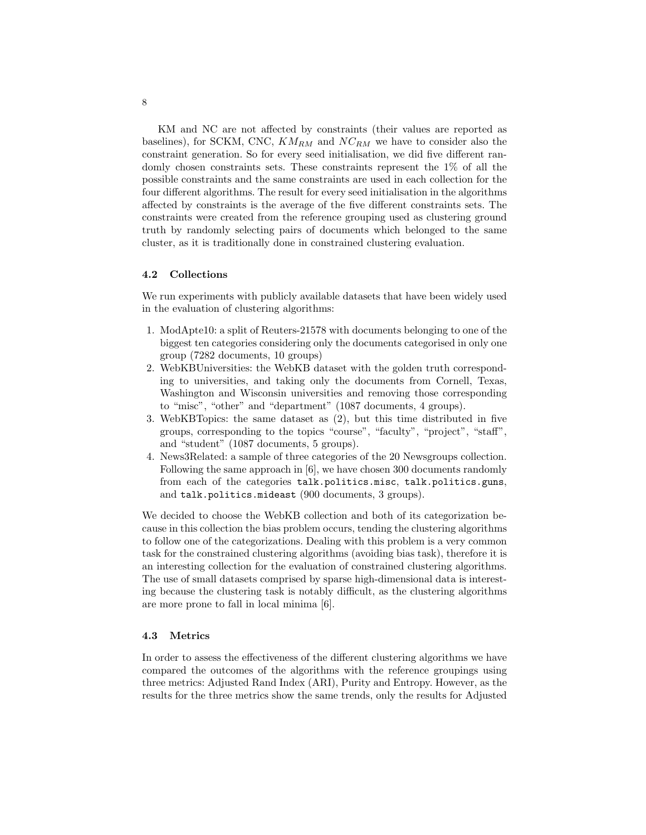KM and NC are not affected by constraints (their values are reported as baselines), for SCKM, CNC,  $KM_{RM}$  and  $NC_{RM}$  we have to consider also the constraint generation. So for every seed initialisation, we did five different randomly chosen constraints sets. These constraints represent the 1% of all the possible constraints and the same constraints are used in each collection for the four different algorithms. The result for every seed initialisation in the algorithms affected by constraints is the average of the five different constraints sets. The constraints were created from the reference grouping used as clustering ground truth by randomly selecting pairs of documents which belonged to the same cluster, as it is traditionally done in constrained clustering evaluation.

#### 4.2 Collections

We run experiments with publicly available datasets that have been widely used in the evaluation of clustering algorithms:

- 1. ModApte10: a split of Reuters-21578 with documents belonging to one of the biggest ten categories considering only the documents categorised in only one group (7282 documents, 10 groups)
- 2. WebKBUniversities: the WebKB dataset with the golden truth corresponding to universities, and taking only the documents from Cornell, Texas, Washington and Wisconsin universities and removing those corresponding to "misc", "other" and "department" (1087 documents, 4 groups).
- 3. WebKBTopics: the same dataset as (2), but this time distributed in five groups, corresponding to the topics "course", "faculty", "project", "staff", and "student" (1087 documents, 5 groups).
- 4. News3Related: a sample of three categories of the 20 Newsgroups collection. Following the same approach in [6], we have chosen 300 documents randomly from each of the categories talk.politics.misc, talk.politics.guns, and talk.politics.mideast (900 documents, 3 groups).

We decided to choose the WebKB collection and both of its categorization because in this collection the bias problem occurs, tending the clustering algorithms to follow one of the categorizations. Dealing with this problem is a very common task for the constrained clustering algorithms (avoiding bias task), therefore it is an interesting collection for the evaluation of constrained clustering algorithms. The use of small datasets comprised by sparse high-dimensional data is interesting because the clustering task is notably difficult, as the clustering algorithms are more prone to fall in local minima [6].

#### 4.3 Metrics

In order to assess the effectiveness of the different clustering algorithms we have compared the outcomes of the algorithms with the reference groupings using three metrics: Adjusted Rand Index (ARI), Purity and Entropy. However, as the results for the three metrics show the same trends, only the results for Adjusted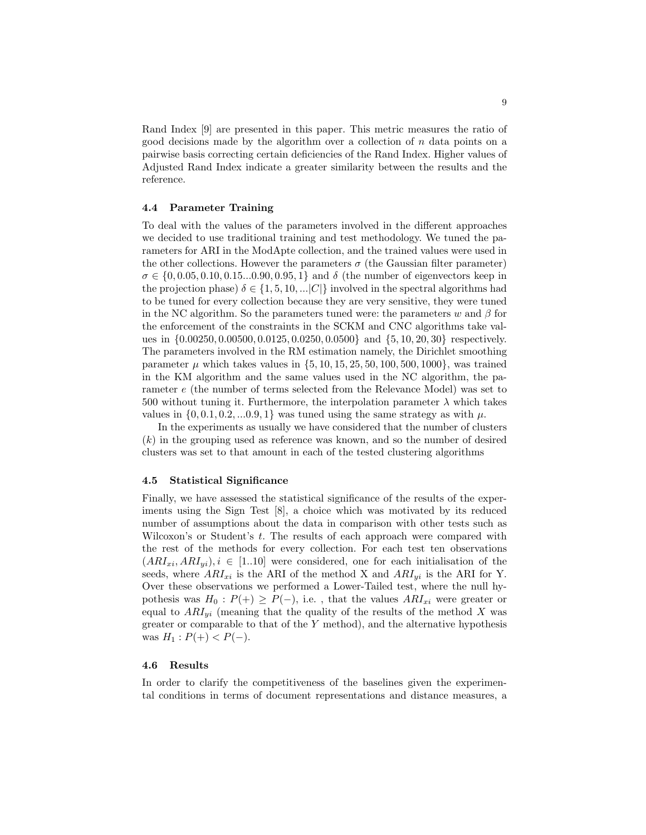Rand Index [9] are presented in this paper. This metric measures the ratio of good decisions made by the algorithm over a collection of  $n$  data points on a pairwise basis correcting certain deficiencies of the Rand Index. Higher values of Adjusted Rand Index indicate a greater similarity between the results and the reference.

#### 4.4 Parameter Training

To deal with the values of the parameters involved in the different approaches we decided to use traditional training and test methodology. We tuned the parameters for ARI in the ModApte collection, and the trained values were used in the other collections. However the parameters  $\sigma$  (the Gaussian filter parameter)  $\sigma \in \{0, 0.05, 0.10, 0.15...0.90, 0.95, 1\}$  and  $\delta$  (the number of eigenvectors keep in the projection phase)  $\delta \in \{1, 5, 10, \ldots |C|\}$  involved in the spectral algorithms had to be tuned for every collection because they are very sensitive, they were tuned in the NC algorithm. So the parameters tuned were: the parameters w and  $\beta$  for the enforcement of the constraints in the SCKM and CNC algorithms take values in {0.00250, 0.00500, 0.0125, 0.0250, 0.0500} and {5, 10, 20, 30} respectively. The parameters involved in the RM estimation namely, the Dirichlet smoothing parameter  $\mu$  which takes values in  $\{5, 10, 15, 25, 50, 100, 500, 1000\}$ , was trained in the KM algorithm and the same values used in the NC algorithm, the parameter e (the number of terms selected from the Relevance Model) was set to 500 without tuning it. Furthermore, the interpolation parameter  $\lambda$  which takes values in  $\{0, 0.1, 0.2, \ldots 0.9, 1\}$  was tuned using the same strategy as with  $\mu$ .

In the experiments as usually we have considered that the number of clusters  $(k)$  in the grouping used as reference was known, and so the number of desired clusters was set to that amount in each of the tested clustering algorithms

#### 4.5 Statistical Significance

Finally, we have assessed the statistical significance of the results of the experiments using the Sign Test [8], a choice which was motivated by its reduced number of assumptions about the data in comparison with other tests such as Wilcoxon's or Student's t. The results of each approach were compared with the rest of the methods for every collection. For each test ten observations  $(ARI_{xi}, ARI_{yi}), i \in [1..10]$  were considered, one for each initialisation of the seeds, where  $ARI_{xi}$  is the ARI of the method X and  $ARI_{yi}$  is the ARI for Y. Over these observations we performed a Lower-Tailed test, where the null hypothesis was  $H_0: P(+) \geq P(-)$ , i.e., that the values  $ARI_{xi}$  were greater or equal to  $ARI_{yi}$  (meaning that the quality of the results of the method X was greater or comparable to that of the Y method), and the alternative hypothesis was  $H_1$ :  $P(+) < P(-)$ .

#### 4.6 Results

In order to clarify the competitiveness of the baselines given the experimental conditions in terms of document representations and distance measures, a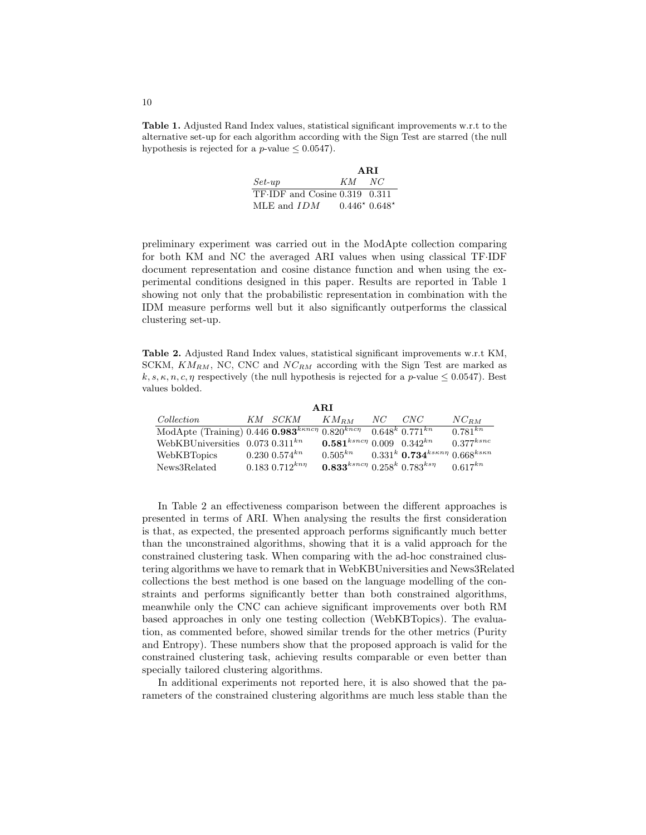Table 1. Adjusted Rand Index values, statistical significant improvements w.r.t to the alternative set-up for each algorithm according with the Sign Test are starred (the null hypothesis is rejected for a *p*-value  $\leq 0.0547$ .

|                                 | ARI            |  |  |
|---------------------------------|----------------|--|--|
| $Set$ -up                       | KM NC          |  |  |
| $TF$ IDF and Cosine 0.319 0.311 |                |  |  |
| MLE and <i>IDM</i>              | $0.446*0.648*$ |  |  |

preliminary experiment was carried out in the ModApte collection comparing for both KM and NC the averaged ARI values when using classical TF·IDF document representation and cosine distance function and when using the experimental conditions designed in this paper. Results are reported in Table 1 showing not only that the probabilistic representation in combination with the IDM measure performs well but it also significantly outperforms the classical clustering set-up.

Table 2. Adjusted Rand Index values, statistical significant improvements w.r.t KM, SCKM,  $KM_{RM}$ , NC, CNC and  $NC_{RM}$  according with the Sign Test are marked as k, s, k, n, c,  $\eta$  respectively (the null hypothesis is rejected for a p-value  $\leq 0.0547$ ). Best values bolded.

| A R.I                                                                      |  |                            |                                     |    |                                                                              |                |  |
|----------------------------------------------------------------------------|--|----------------------------|-------------------------------------|----|------------------------------------------------------------------------------|----------------|--|
| Collection                                                                 |  | KM SCKM                    | $KM_{BM}$                           | NC | CNC                                                                          | $NC_{RM}$      |  |
| ModApte (Training) 0.446 0.983 $^{k\kappa n c\eta}$ 0.820 $^{k\eta c\eta}$ |  |                            |                                     |    | $0.648^k$ $0.771^{kn}$                                                       | $0.781^{kn}$   |  |
| WebKBUniversities $0.073$ $0.311^{kn}$                                     |  |                            | $0.581^{ksnc\eta} 0.009 0.342^{kn}$ |    |                                                                              | $0.377^{ksnc}$ |  |
| WebKBTopics                                                                |  | $0.230$ $0.574^{kn}$       |                                     |    | $0.505^{kn}$ $0.331^k$ <b>0.734</b> $^{ks\kappa n\eta}$ $0.668^{ks\kappa n}$ |                |  |
| News3Related                                                               |  | $0.183$ $0.712^{k n \eta}$ |                                     |    | $0.833^{ksnc\eta}$ $0.258^k$ $0.783^{ks\eta}$                                | $0.617^{kn}$   |  |

In Table 2 an effectiveness comparison between the different approaches is presented in terms of ARI. When analysing the results the first consideration is that, as expected, the presented approach performs significantly much better than the unconstrained algorithms, showing that it is a valid approach for the constrained clustering task. When comparing with the ad-hoc constrained clustering algorithms we have to remark that in WebKBUniversities and News3Related collections the best method is one based on the language modelling of the constraints and performs significantly better than both constrained algorithms, meanwhile only the CNC can achieve significant improvements over both RM based approaches in only one testing collection (WebKBTopics). The evaluation, as commented before, showed similar trends for the other metrics (Purity and Entropy). These numbers show that the proposed approach is valid for the constrained clustering task, achieving results comparable or even better than specially tailored clustering algorithms.

In additional experiments not reported here, it is also showed that the parameters of the constrained clustering algorithms are much less stable than the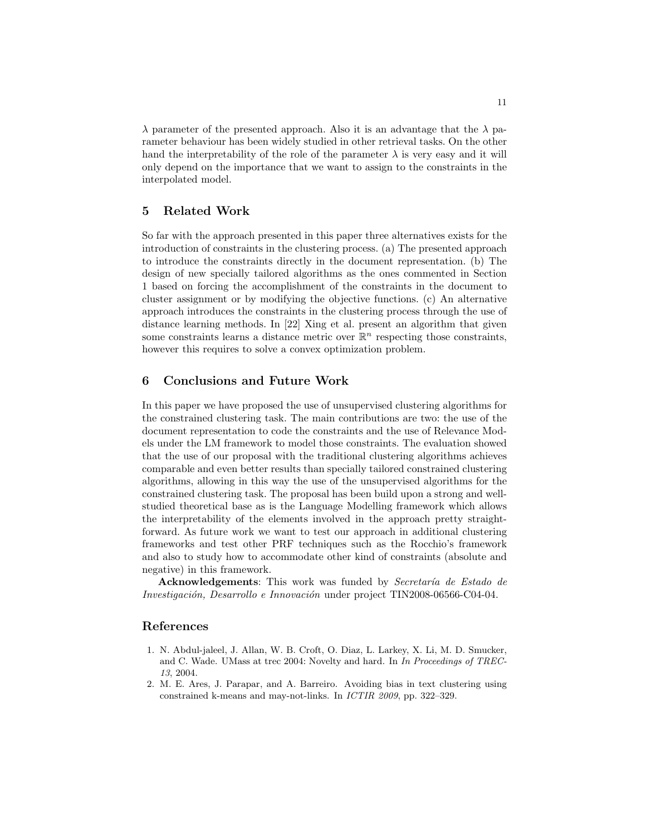$\lambda$  parameter of the presented approach. Also it is an advantage that the  $\lambda$  parameter behaviour has been widely studied in other retrieval tasks. On the other hand the interpretability of the role of the parameter  $\lambda$  is very easy and it will only depend on the importance that we want to assign to the constraints in the interpolated model.

## 5 Related Work

So far with the approach presented in this paper three alternatives exists for the introduction of constraints in the clustering process. (a) The presented approach to introduce the constraints directly in the document representation. (b) The design of new specially tailored algorithms as the ones commented in Section 1 based on forcing the accomplishment of the constraints in the document to cluster assignment or by modifying the objective functions. (c) An alternative approach introduces the constraints in the clustering process through the use of distance learning methods. In [22] Xing et al. present an algorithm that given some constraints learns a distance metric over  $\mathbb{R}^n$  respecting those constraints, however this requires to solve a convex optimization problem.

# 6 Conclusions and Future Work

In this paper we have proposed the use of unsupervised clustering algorithms for the constrained clustering task. The main contributions are two: the use of the document representation to code the constraints and the use of Relevance Models under the LM framework to model those constraints. The evaluation showed that the use of our proposal with the traditional clustering algorithms achieves comparable and even better results than specially tailored constrained clustering algorithms, allowing in this way the use of the unsupervised algorithms for the constrained clustering task. The proposal has been build upon a strong and wellstudied theoretical base as is the Language Modelling framework which allows the interpretability of the elements involved in the approach pretty straightforward. As future work we want to test our approach in additional clustering frameworks and test other PRF techniques such as the Rocchio's framework and also to study how to accommodate other kind of constraints (absolute and negative) in this framework.

Acknowledgements: This work was funded by Secretaría de Estado de Investigación, Desarrollo e Innovación under project TIN2008-06566-C04-04.

# References

- 1. N. Abdul-jaleel, J. Allan, W. B. Croft, O. Diaz, L. Larkey, X. Li, M. D. Smucker, and C. Wade. UMass at trec 2004: Novelty and hard. In In Proceedings of TREC-13, 2004.
- 2. M. E. Ares, J. Parapar, and A. Barreiro. Avoiding bias in text clustering using constrained k-means and may-not-links. In ICTIR 2009, pp. 322–329.